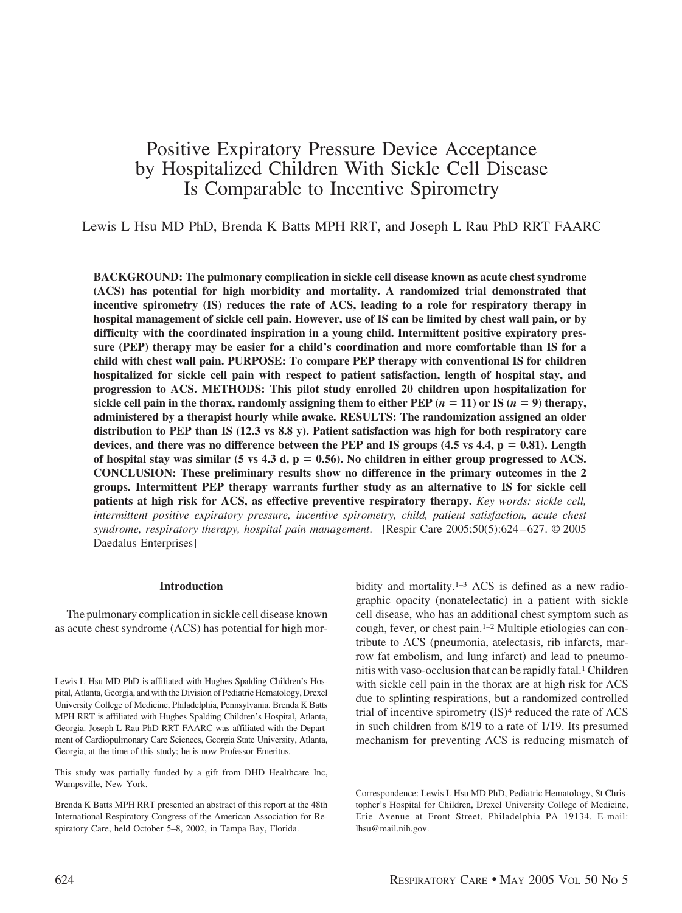# Positive Expiratory Pressure Device Acceptance by Hospitalized Children With Sickle Cell Disease Is Comparable to Incentive Spirometry

Lewis L Hsu MD PhD, Brenda K Batts MPH RRT, and Joseph L Rau PhD RRT FAARC

**BACKGROUND: The pulmonary complication in sickle cell disease known as acute chest syndrome (ACS) has potential for high morbidity and mortality. A randomized trial demonstrated that incentive spirometry (IS) reduces the rate of ACS, leading to a role for respiratory therapy in hospital management of sickle cell pain. However, use of IS can be limited by chest wall pain, or by difficulty with the coordinated inspiration in a young child. Intermittent positive expiratory pressure (PEP) therapy may be easier for a child's coordination and more comfortable than IS for a child with chest wall pain. PURPOSE: To compare PEP therapy with conventional IS for children hospitalized for sickle cell pain with respect to patient satisfaction, length of hospital stay, and progression to ACS. METHODS: This pilot study enrolled 20 children upon hospitalization for** sickle cell pain in the thorax, randomly assigning them to either PEP  $(n = 11)$  or IS  $(n = 9)$  therapy, **administered by a therapist hourly while awake. RESULTS: The randomization assigned an older distribution to PEP than IS (12.3 vs 8.8 y). Patient satisfaction was high for both respiratory care** devices, and there was no difference between the PEP and IS groups  $(4.5 \text{ vs } 4.4, p = 0.81)$ . Length of hospital stay was similar  $(5 \text{ vs } 4.3 \text{ d}, \text{p} = 0.56)$ . No children in either group progressed to ACS. **CONCLUSION: These preliminary results show no difference in the primary outcomes in the 2 groups. Intermittent PEP therapy warrants further study as an alternative to IS for sickle cell patients at high risk for ACS, as effective preventive respiratory therapy.** *Key words: sickle cell, intermittent positive expiratory pressure, incentive spirometry, child, patient satisfaction, acute chest syndrome, respiratory therapy, hospital pain management*. [Respir Care 2005;50(5):624 – 627. © 2005 Daedalus Enterprises]

# **Introduction**

The pulmonary complication in sickle cell disease known as acute chest syndrome (ACS) has potential for high morbidity and mortality.<sup>1–3</sup> ACS is defined as a new radiographic opacity (nonatelectatic) in a patient with sickle cell disease, who has an additional chest symptom such as cough, fever, or chest pain.1–2 Multiple etiologies can contribute to ACS (pneumonia, atelectasis, rib infarcts, marrow fat embolism, and lung infarct) and lead to pneumonitis with vaso-occlusion that can be rapidly fatal.<sup>1</sup> Children with sickle cell pain in the thorax are at high risk for ACS due to splinting respirations, but a randomized controlled trial of incentive spirometry (IS)4 reduced the rate of ACS in such children from 8/19 to a rate of 1/19. Its presumed mechanism for preventing ACS is reducing mismatch of

Lewis L Hsu MD PhD is affiliated with Hughes Spalding Children's Hospital, Atlanta, Georgia, and with the Division of Pediatric Hematology, Drexel University College of Medicine, Philadelphia, Pennsylvania. Brenda K Batts MPH RRT is affiliated with Hughes Spalding Children's Hospital, Atlanta, Georgia. Joseph L Rau PhD RRT FAARC was affiliated with the Department of Cardiopulmonary Care Sciences, Georgia State University, Atlanta, Georgia, at the time of this study; he is now Professor Emeritus.

This study was partially funded by a gift from DHD Healthcare Inc, Wampsville, New York.

Brenda K Batts MPH RRT presented an abstract of this report at the 48th International Respiratory Congress of the American Association for Respiratory Care, held October 5–8, 2002, in Tampa Bay, Florida.

Correspondence: Lewis L Hsu MD PhD, Pediatric Hematology, St Christopher's Hospital for Children, Drexel University College of Medicine, Erie Avenue at Front Street, Philadelphia PA 19134. E-mail: lhsu@mail.nih.gov.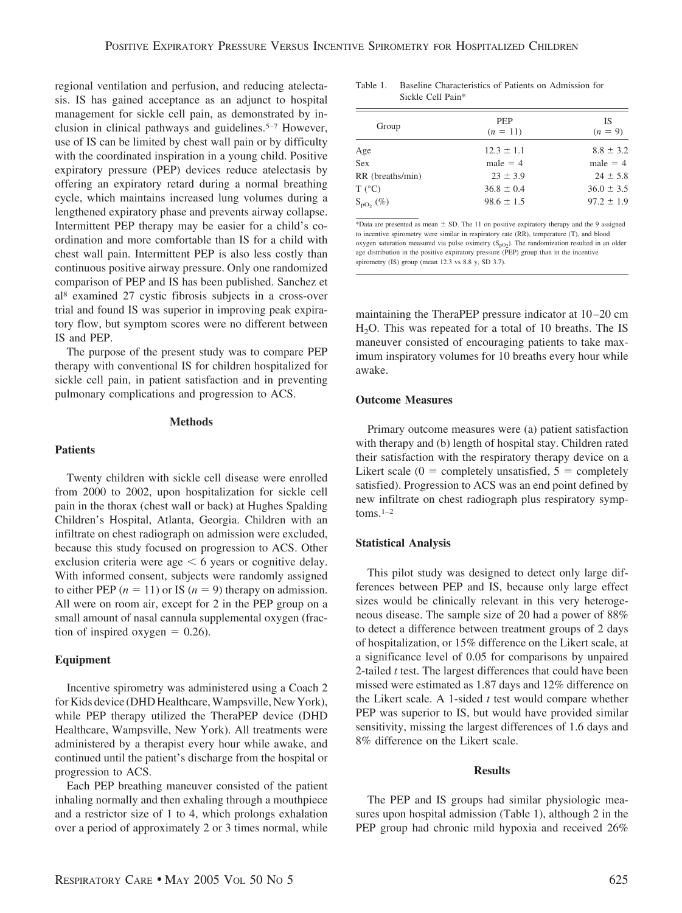regional ventilation and perfusion, and reducing atelectasis. IS has gained acceptance as an adjunct to hospital management for sickle cell pain, as demonstrated by inclusion in clinical pathways and guidelines.5–7 However, use of IS can be limited by chest wall pain or by difficulty with the coordinated inspiration in a young child. Positive expiratory pressure (PEP) devices reduce atelectasis by offering an expiratory retard during a normal breathing cycle, which maintains increased lung volumes during a lengthened expiratory phase and prevents airway collapse. Intermittent PEP therapy may be easier for a child's coordination and more comfortable than IS for a child with chest wall pain. Intermittent PEP is also less costly than continuous positive airway pressure. Only one randomized comparison of PEP and IS has been published. Sanchez et al8 examined 27 cystic fibrosis subjects in a cross-over trial and found IS was superior in improving peak expiratory flow, but symptom scores were no different between IS and PEP.

The purpose of the present study was to compare PEP therapy with conventional IS for children hospitalized for sickle cell pain, in patient satisfaction and in preventing pulmonary complications and progression to ACS.

## **Methods**

## **Patients**

Twenty children with sickle cell disease were enrolled from 2000 to 2002, upon hospitalization for sickle cell pain in the thorax (chest wall or back) at Hughes Spalding Children's Hospital, Atlanta, Georgia. Children with an infiltrate on chest radiograph on admission were excluded, because this study focused on progression to ACS. Other exclusion criteria were age  $\leq 6$  years or cognitive delay. With informed consent, subjects were randomly assigned to either PEP  $(n = 11)$  or IS  $(n = 9)$  therapy on admission. All were on room air, except for 2 in the PEP group on a small amount of nasal cannula supplemental oxygen (fraction of inspired oxygen  $= 0.26$ ).

#### **Equipment**

Incentive spirometry was administered using a Coach 2 for Kids device (DHD Healthcare,Wampsville, New York), while PEP therapy utilized the TheraPEP device (DHD Healthcare, Wampsville, New York). All treatments were administered by a therapist every hour while awake, and continued until the patient's discharge from the hospital or progression to ACS.

Each PEP breathing maneuver consisted of the patient inhaling normally and then exhaling through a mouthpiece and a restrictor size of 1 to 4, which prolongs exhalation over a period of approximately 2 or 3 times normal, while

Table 1. Baseline Characteristics of Patients on Admission for Sickle Cell Pain\*

| Group                    | <b>PEP</b><br>$(n = 11)$ | <b>IS</b><br>$(n = 9)$ |
|--------------------------|--------------------------|------------------------|
| Age                      | $12.3 \pm 1.1$           | $8.8 \pm 3.2$          |
| <b>Sex</b>               | $male = 4$               | male $= 4$             |
| RR (breaths/min)         | $23 \pm 3.9$             | $24 \pm 5.8$           |
| $T (^{\circ}C)$          | $36.8 \pm 0.4$           | $36.0 \pm 3.5$         |
| $S_{\text{pO}}$ , $(\%)$ | $98.6 \pm 1.5$           | $97.2 \pm 1.9$         |

\*Data are presented as mean  $\pm$  SD. The 11 on positive expiratory therapy and the 9 assigned to incentive spirometry were similar in respiratory rate (RR), temperature (T), and blood oxygen saturation measured via pulse oximetry  $(S_{pQ2})$ . The randomization resulted in an older age distribution in the positive expiratory pressure (PEP) group than in the incentive spirometry (IS) group (mean 12.3 vs 8.8 y, SD 3.7).

maintaining the TheraPEP pressure indicator at 10 –20 cm  $H<sub>2</sub>O$ . This was repeated for a total of 10 breaths. The IS maneuver consisted of encouraging patients to take maximum inspiratory volumes for 10 breaths every hour while awake.

## **Outcome Measures**

Primary outcome measures were (a) patient satisfaction with therapy and (b) length of hospital stay. Children rated their satisfaction with the respiratory therapy device on a Likert scale  $(0 = \text{completely unsatisfied}, 5 = \text{completely})$ satisfied). Progression to ACS was an end point defined by new infiltrate on chest radiograph plus respiratory symptoms. $1-2$ 

## **Statistical Analysis**

This pilot study was designed to detect only large differences between PEP and IS, because only large effect sizes would be clinically relevant in this very heterogeneous disease. The sample size of 20 had a power of 88% to detect a difference between treatment groups of 2 days of hospitalization, or 15% difference on the Likert scale, at a significance level of 0.05 for comparisons by unpaired 2-tailed *t* test. The largest differences that could have been missed were estimated as 1.87 days and 12% difference on the Likert scale. A 1-sided *t* test would compare whether PEP was superior to IS, but would have provided similar sensitivity, missing the largest differences of 1.6 days and 8% difference on the Likert scale.

#### **Results**

The PEP and IS groups had similar physiologic measures upon hospital admission (Table 1), although 2 in the PEP group had chronic mild hypoxia and received  $26\%$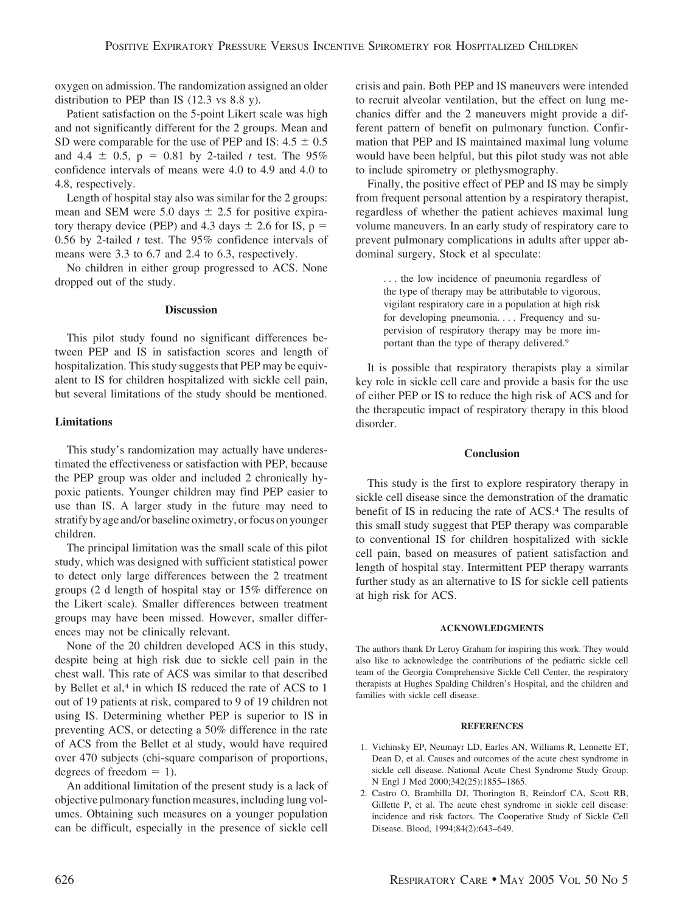oxygen on admission. The randomization assigned an older distribution to PEP than IS (12.3 vs 8.8 y).

Patient satisfaction on the 5-point Likert scale was high and not significantly different for the 2 groups. Mean and SD were comparable for the use of PEP and IS:  $4.5 \pm 0.5$ and  $4.4 \pm 0.5$ ,  $p = 0.81$  by 2-tailed *t* test. The 95% confidence intervals of means were 4.0 to 4.9 and 4.0 to 4.8, respectively.

Length of hospital stay also was similar for the 2 groups: mean and SEM were 5.0 days  $\pm$  2.5 for positive expiratory therapy device (PEP) and 4.3 days  $\pm$  2.6 for IS, p = 0.56 by 2-tailed *t* test. The 95% confidence intervals of means were 3.3 to 6.7 and 2.4 to 6.3, respectively.

No children in either group progressed to ACS. None dropped out of the study.

# **Discussion**

This pilot study found no significant differences between PEP and IS in satisfaction scores and length of hospitalization. This study suggests that PEP may be equivalent to IS for children hospitalized with sickle cell pain, but several limitations of the study should be mentioned.

# **Limitations**

This study's randomization may actually have underestimated the effectiveness or satisfaction with PEP, because the PEP group was older and included 2 chronically hypoxic patients. Younger children may find PEP easier to use than IS. A larger study in the future may need to stratify by age and/or baseline oximetry, or focus on younger children.

The principal limitation was the small scale of this pilot study, which was designed with sufficient statistical power to detect only large differences between the 2 treatment groups (2 d length of hospital stay or 15% difference on the Likert scale). Smaller differences between treatment groups may have been missed. However, smaller differences may not be clinically relevant.

None of the 20 children developed ACS in this study, despite being at high risk due to sickle cell pain in the chest wall. This rate of ACS was similar to that described by Bellet et al,<sup>4</sup> in which IS reduced the rate of ACS to 1 out of 19 patients at risk, compared to 9 of 19 children not using IS. Determining whether PEP is superior to IS in preventing ACS, or detecting a 50% difference in the rate of ACS from the Bellet et al study, would have required over 470 subjects (chi-square comparison of proportions, degrees of freedom  $= 1$ ).

An additional limitation of the present study is a lack of objective pulmonary function measures, including lung volumes. Obtaining such measures on a younger population can be difficult, especially in the presence of sickle cell crisis and pain. Both PEP and IS maneuvers were intended to recruit alveolar ventilation, but the effect on lung mechanics differ and the 2 maneuvers might provide a different pattern of benefit on pulmonary function. Confirmation that PEP and IS maintained maximal lung volume would have been helpful, but this pilot study was not able to include spirometry or plethysmography.

Finally, the positive effect of PEP and IS may be simply from frequent personal attention by a respiratory therapist, regardless of whether the patient achieves maximal lung volume maneuvers. In an early study of respiratory care to prevent pulmonary complications in adults after upper abdominal surgery, Stock et al speculate:

> . . . the low incidence of pneumonia regardless of the type of therapy may be attributable to vigorous, vigilant respiratory care in a population at high risk for developing pneumonia.... Frequency and supervision of respiratory therapy may be more important than the type of therapy delivered.9

It is possible that respiratory therapists play a similar key role in sickle cell care and provide a basis for the use of either PEP or IS to reduce the high risk of ACS and for the therapeutic impact of respiratory therapy in this blood disorder.

## **Conclusion**

This study is the first to explore respiratory therapy in sickle cell disease since the demonstration of the dramatic benefit of IS in reducing the rate of ACS.4 The results of this small study suggest that PEP therapy was comparable to conventional IS for children hospitalized with sickle cell pain, based on measures of patient satisfaction and length of hospital stay. Intermittent PEP therapy warrants further study as an alternative to IS for sickle cell patients at high risk for ACS.

### **ACKNOWLEDGMENTS**

The authors thank Dr Leroy Graham for inspiring this work. They would also like to acknowledge the contributions of the pediatric sickle cell team of the Georgia Comprehensive Sickle Cell Center, the respiratory therapists at Hughes Spalding Children's Hospital, and the children and families with sickle cell disease.

## **REFERENCES**

- 1. Vichinsky EP, Neumayr LD, Earles AN, Williams R, Lennette ET, Dean D, et al. Causes and outcomes of the acute chest syndrome in sickle cell disease. National Acute Chest Syndrome Study Group. N Engl J Med 2000;342(25):1855–1865.
- 2. Castro O, Brambilla DJ, Thorington B, Reindorf CA, Scott RB, Gillette P, et al. The acute chest syndrome in sickle cell disease: incidence and risk factors. The Cooperative Study of Sickle Cell Disease. Blood, 1994;84(2):643–649.